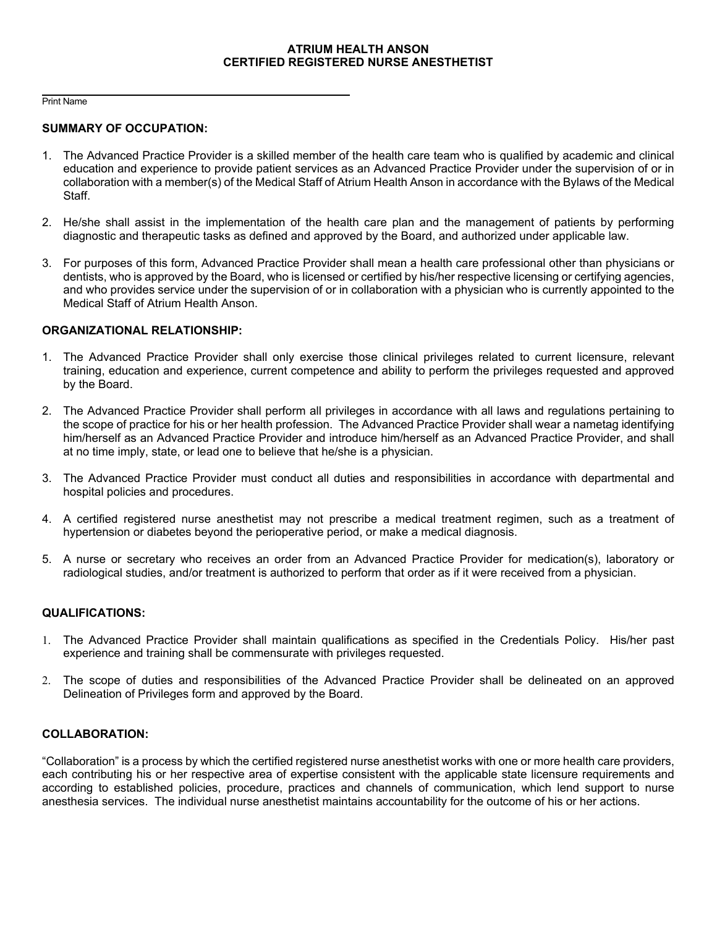## **ATRIUM HEALTH ANSON CERTIFIED REGISTERED NURSE ANESTHETIST**

 $\overline{a}$ Print Name

### **SUMMARY OF OCCUPATION:**

- 1. The Advanced Practice Provider is a skilled member of the health care team who is qualified by academic and clinical education and experience to provide patient services as an Advanced Practice Provider under the supervision of or in collaboration with a member(s) of the Medical Staff of Atrium Health Anson in accordance with the Bylaws of the Medical Staff.
- 2. He/she shall assist in the implementation of the health care plan and the management of patients by performing diagnostic and therapeutic tasks as defined and approved by the Board, and authorized under applicable law.
- 3. For purposes of this form, Advanced Practice Provider shall mean a health care professional other than physicians or dentists, who is approved by the Board, who is licensed or certified by his/her respective licensing or certifying agencies, and who provides service under the supervision of or in collaboration with a physician who is currently appointed to the Medical Staff of Atrium Health Anson.

### **ORGANIZATIONAL RELATIONSHIP:**

- 1. The Advanced Practice Provider shall only exercise those clinical privileges related to current licensure, relevant training, education and experience, current competence and ability to perform the privileges requested and approved by the Board.
- 2. The Advanced Practice Provider shall perform all privileges in accordance with all laws and regulations pertaining to the scope of practice for his or her health profession. The Advanced Practice Provider shall wear a nametag identifying him/herself as an Advanced Practice Provider and introduce him/herself as an Advanced Practice Provider, and shall at no time imply, state, or lead one to believe that he/she is a physician.
- 3. The Advanced Practice Provider must conduct all duties and responsibilities in accordance with departmental and hospital policies and procedures.
- 4. A certified registered nurse anesthetist may not prescribe a medical treatment regimen, such as a treatment of hypertension or diabetes beyond the perioperative period, or make a medical diagnosis.
- 5. A nurse or secretary who receives an order from an Advanced Practice Provider for medication(s), laboratory or radiological studies, and/or treatment is authorized to perform that order as if it were received from a physician.

## **QUALIFICATIONS:**

- 1. The Advanced Practice Provider shall maintain qualifications as specified in the Credentials Policy. His/her past experience and training shall be commensurate with privileges requested.
- 2. The scope of duties and responsibilities of the Advanced Practice Provider shall be delineated on an approved Delineation of Privileges form and approved by the Board.

# **COLLABORATION:**

"Collaboration" is a process by which the certified registered nurse anesthetist works with one or more health care providers, each contributing his or her respective area of expertise consistent with the applicable state licensure requirements and according to established policies, procedure, practices and channels of communication, which lend support to nurse anesthesia services. The individual nurse anesthetist maintains accountability for the outcome of his or her actions.